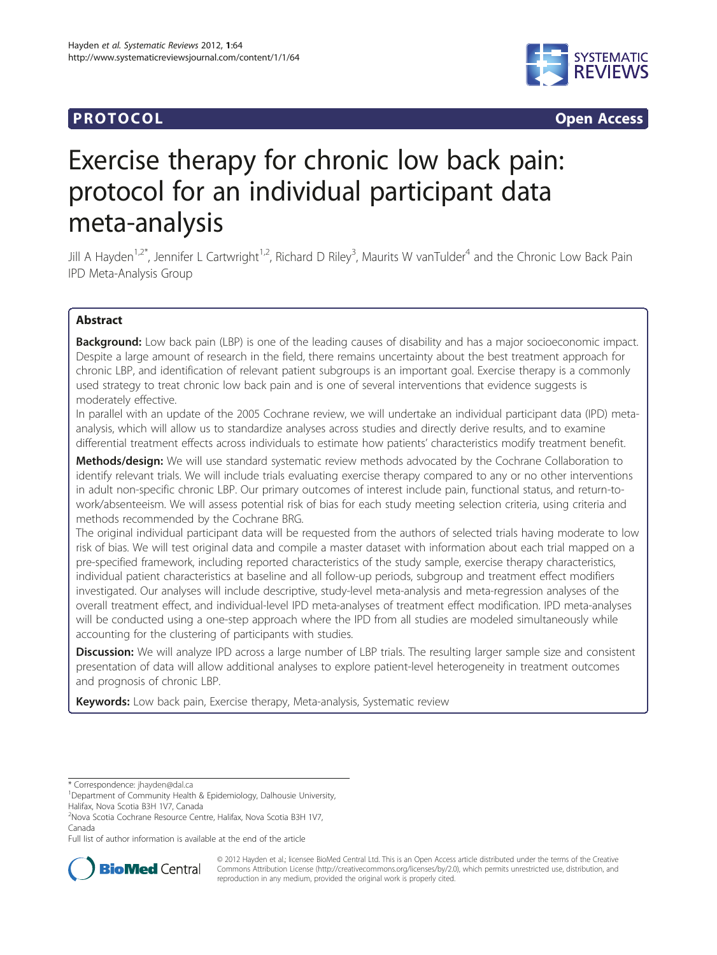## **PROTOCOL CONSUMING ACCESS**



# Exercise therapy for chronic low back pain: protocol for an individual participant data meta-analysis

Jill A Hayden<sup>1,2\*</sup>, Jennifer L Cartwright<sup>1,2</sup>, Richard D Riley<sup>3</sup>, Maurits W vanTulder<sup>4</sup> and the Chronic Low Back Pain IPD Meta-Analysis Group

## Abstract

Background: Low back pain (LBP) is one of the leading causes of disability and has a major socioeconomic impact. Despite a large amount of research in the field, there remains uncertainty about the best treatment approach for chronic LBP, and identification of relevant patient subgroups is an important goal. Exercise therapy is a commonly used strategy to treat chronic low back pain and is one of several interventions that evidence suggests is moderately effective.

In parallel with an update of the 2005 Cochrane review, we will undertake an individual participant data (IPD) metaanalysis, which will allow us to standardize analyses across studies and directly derive results, and to examine differential treatment effects across individuals to estimate how patients' characteristics modify treatment benefit.

Methods/design: We will use standard systematic review methods advocated by the Cochrane Collaboration to identify relevant trials. We will include trials evaluating exercise therapy compared to any or no other interventions in adult non-specific chronic LBP. Our primary outcomes of interest include pain, functional status, and return-towork/absenteeism. We will assess potential risk of bias for each study meeting selection criteria, using criteria and methods recommended by the Cochrane BRG.

The original individual participant data will be requested from the authors of selected trials having moderate to low risk of bias. We will test original data and compile a master dataset with information about each trial mapped on a pre-specified framework, including reported characteristics of the study sample, exercise therapy characteristics, individual patient characteristics at baseline and all follow-up periods, subgroup and treatment effect modifiers investigated. Our analyses will include descriptive, study-level meta-analysis and meta-regression analyses of the overall treatment effect, and individual-level IPD meta-analyses of treatment effect modification. IPD meta-analyses will be conducted using a one-step approach where the IPD from all studies are modeled simultaneously while accounting for the clustering of participants with studies.

Discussion: We will analyze IPD across a large number of LBP trials. The resulting larger sample size and consistent presentation of data will allow additional analyses to explore patient-level heterogeneity in treatment outcomes and prognosis of chronic LBP.

Keywords: Low back pain, Exercise therapy, Meta-analysis, Systematic review

Full list of author information is available at the end of the article



© 2012 Hayden et al.; licensee BioMed Central Ltd. This is an Open Access article distributed under the terms of the Creative Commons Attribution License [\(http://creativecommons.org/licenses/by/2.0\)](http://creativecommons.org/licenses/by/2.0), which permits unrestricted use, distribution, and reproduction in any medium, provided the original work is properly cited.

<sup>\*</sup> Correspondence: [jhayden@dal.ca](mailto:jhayden@dal.ca) <sup>1</sup>

<sup>&</sup>lt;sup>1</sup>Department of Community Health & Epidemiology, Dalhousie University, Halifax, Nova Scotia B3H 1V7, Canada

<sup>2</sup> Nova Scotia Cochrane Resource Centre, Halifax, Nova Scotia B3H 1V7, Canada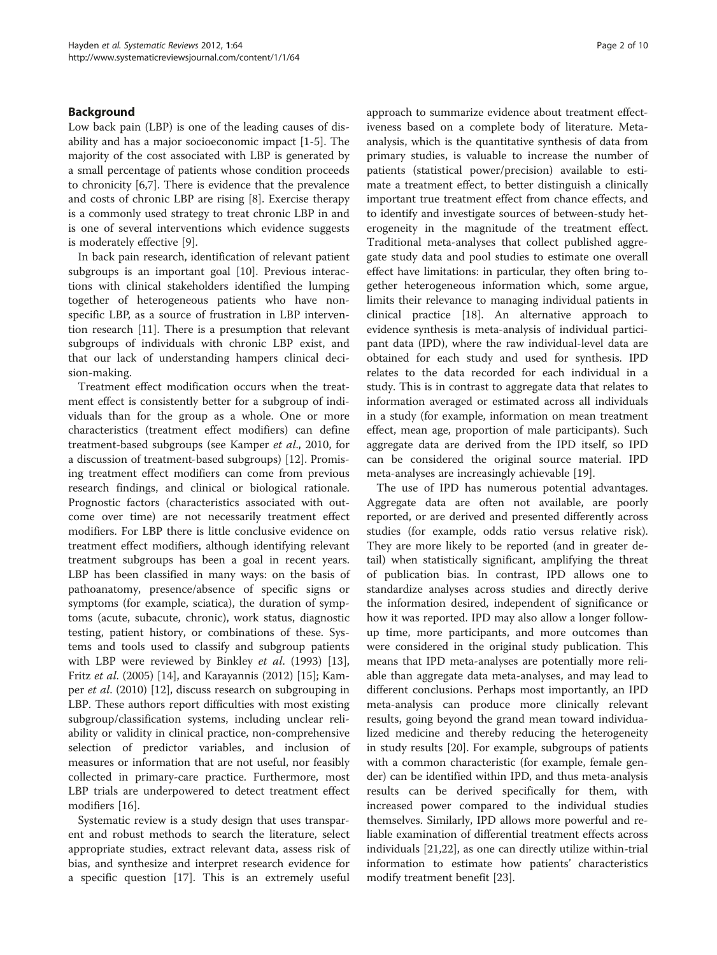## Background

Low back pain (LBP) is one of the leading causes of disability and has a major socioeconomic impact [\[1](#page-8-0)-[5\]](#page-8-0). The majority of the cost associated with LBP is generated by a small percentage of patients whose condition proceeds to chronicity [[6](#page-8-0),[7\]](#page-8-0). There is evidence that the prevalence and costs of chronic LBP are rising [[8](#page-8-0)]. Exercise therapy is a commonly used strategy to treat chronic LBP in and is one of several interventions which evidence suggests is moderately effective [\[9](#page-8-0)].

In back pain research, identification of relevant patient subgroups is an important goal [\[10](#page-8-0)]. Previous interactions with clinical stakeholders identified the lumping together of heterogeneous patients who have nonspecific LBP, as a source of frustration in LBP intervention research [[11](#page-8-0)]. There is a presumption that relevant subgroups of individuals with chronic LBP exist, and that our lack of understanding hampers clinical decision-making.

Treatment effect modification occurs when the treatment effect is consistently better for a subgroup of individuals than for the group as a whole. One or more characteristics (treatment effect modifiers) can define treatment-based subgroups (see Kamper et al., 2010, for a discussion of treatment-based subgroups) [\[12\]](#page-8-0). Promising treatment effect modifiers can come from previous research findings, and clinical or biological rationale. Prognostic factors (characteristics associated with outcome over time) are not necessarily treatment effect modifiers. For LBP there is little conclusive evidence on treatment effect modifiers, although identifying relevant treatment subgroups has been a goal in recent years. LBP has been classified in many ways: on the basis of pathoanatomy, presence/absence of specific signs or symptoms (for example, sciatica), the duration of symptoms (acute, subacute, chronic), work status, diagnostic testing, patient history, or combinations of these. Systems and tools used to classify and subgroup patients with LBP were reviewed by Binkley et al. (1993) [\[13](#page-8-0)], Fritz et al. (2005) [[14\]](#page-8-0), and Karayannis (2012) [[15\]](#page-8-0); Kamper et al. (2010) [\[12](#page-8-0)], discuss research on subgrouping in LBP. These authors report difficulties with most existing subgroup/classification systems, including unclear reliability or validity in clinical practice, non-comprehensive selection of predictor variables, and inclusion of measures or information that are not useful, nor feasibly collected in primary-care practice. Furthermore, most LBP trials are underpowered to detect treatment effect modifiers [\[16\]](#page-8-0).

Systematic review is a study design that uses transparent and robust methods to search the literature, select appropriate studies, extract relevant data, assess risk of bias, and synthesize and interpret research evidence for a specific question [\[17](#page-8-0)]. This is an extremely useful

approach to summarize evidence about treatment effectiveness based on a complete body of literature. Metaanalysis, which is the quantitative synthesis of data from primary studies, is valuable to increase the number of patients (statistical power/precision) available to estimate a treatment effect, to better distinguish a clinically important true treatment effect from chance effects, and to identify and investigate sources of between-study heterogeneity in the magnitude of the treatment effect. Traditional meta-analyses that collect published aggregate study data and pool studies to estimate one overall effect have limitations: in particular, they often bring together heterogeneous information which, some argue, limits their relevance to managing individual patients in clinical practice [[18\]](#page-8-0). An alternative approach to evidence synthesis is meta-analysis of individual participant data (IPD), where the raw individual-level data are obtained for each study and used for synthesis. IPD relates to the data recorded for each individual in a study. This is in contrast to aggregate data that relates to information averaged or estimated across all individuals in a study (for example, information on mean treatment effect, mean age, proportion of male participants). Such aggregate data are derived from the IPD itself, so IPD can be considered the original source material. IPD meta-analyses are increasingly achievable [[19](#page-8-0)].

The use of IPD has numerous potential advantages. Aggregate data are often not available, are poorly reported, or are derived and presented differently across studies (for example, odds ratio versus relative risk). They are more likely to be reported (and in greater detail) when statistically significant, amplifying the threat of publication bias. In contrast, IPD allows one to standardize analyses across studies and directly derive the information desired, independent of significance or how it was reported. IPD may also allow a longer followup time, more participants, and more outcomes than were considered in the original study publication. This means that IPD meta-analyses are potentially more reliable than aggregate data meta-analyses, and may lead to different conclusions. Perhaps most importantly, an IPD meta-analysis can produce more clinically relevant results, going beyond the grand mean toward individualized medicine and thereby reducing the heterogeneity in study results [[20](#page-8-0)]. For example, subgroups of patients with a common characteristic (for example, female gender) can be identified within IPD, and thus meta-analysis results can be derived specifically for them, with increased power compared to the individual studies themselves. Similarly, IPD allows more powerful and reliable examination of differential treatment effects across individuals [[21,22\]](#page-8-0), as one can directly utilize within-trial information to estimate how patients' characteristics modify treatment benefit [[23\]](#page-8-0).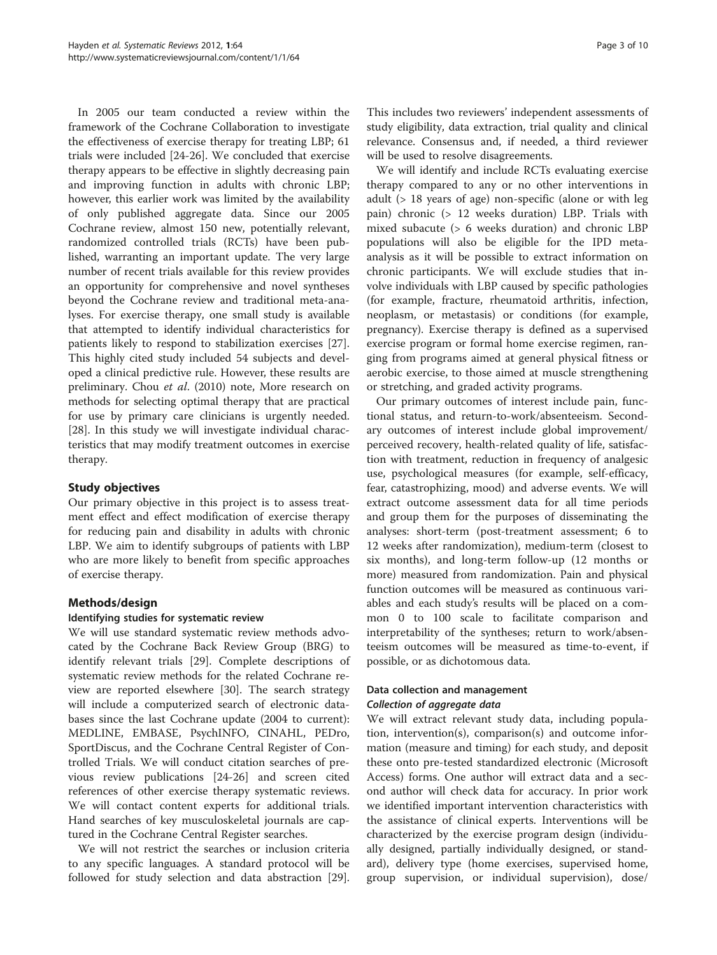In 2005 our team conducted a review within the framework of the Cochrane Collaboration to investigate the effectiveness of exercise therapy for treating LBP; 61 trials were included [\[24-](#page-8-0)[26](#page-9-0)]. We concluded that exercise therapy appears to be effective in slightly decreasing pain and improving function in adults with chronic LBP; however, this earlier work was limited by the availability of only published aggregate data. Since our 2005 Cochrane review, almost 150 new, potentially relevant, randomized controlled trials (RCTs) have been published, warranting an important update. The very large number of recent trials available for this review provides an opportunity for comprehensive and novel syntheses beyond the Cochrane review and traditional meta-analyses. For exercise therapy, one small study is available that attempted to identify individual characteristics for patients likely to respond to stabilization exercises [\[27](#page-9-0)]. This highly cited study included 54 subjects and developed a clinical predictive rule. However, these results are preliminary. Chou et al. (2010) note, More research on methods for selecting optimal therapy that are practical for use by primary care clinicians is urgently needed. [[28\]](#page-9-0). In this study we will investigate individual characteristics that may modify treatment outcomes in exercise therapy.

## Study objectives

Our primary objective in this project is to assess treatment effect and effect modification of exercise therapy for reducing pain and disability in adults with chronic LBP. We aim to identify subgroups of patients with LBP who are more likely to benefit from specific approaches of exercise therapy.

## Methods/design

## Identifying studies for systematic review

We will use standard systematic review methods advocated by the Cochrane Back Review Group (BRG) to identify relevant trials [[29\]](#page-9-0). Complete descriptions of systematic review methods for the related Cochrane review are reported elsewhere [[30\]](#page-9-0). The search strategy will include a computerized search of electronic databases since the last Cochrane update (2004 to current): MEDLINE, EMBASE, PsychINFO, CINAHL, PEDro, SportDiscus, and the Cochrane Central Register of Controlled Trials. We will conduct citation searches of previous review publications [\[24](#page-8-0)-[26](#page-9-0)] and screen cited references of other exercise therapy systematic reviews. We will contact content experts for additional trials. Hand searches of key musculoskeletal journals are captured in the Cochrane Central Register searches.

We will not restrict the searches or inclusion criteria to any specific languages. A standard protocol will be followed for study selection and data abstraction [\[29](#page-9-0)].

This includes two reviewers' independent assessments of study eligibility, data extraction, trial quality and clinical relevance. Consensus and, if needed, a third reviewer will be used to resolve disagreements.

We will identify and include RCTs evaluating exercise therapy compared to any or no other interventions in adult (> 18 years of age) non-specific (alone or with leg pain) chronic (> 12 weeks duration) LBP. Trials with mixed subacute (> 6 weeks duration) and chronic LBP populations will also be eligible for the IPD metaanalysis as it will be possible to extract information on chronic participants. We will exclude studies that involve individuals with LBP caused by specific pathologies (for example, fracture, rheumatoid arthritis, infection, neoplasm, or metastasis) or conditions (for example, pregnancy). Exercise therapy is defined as a supervised exercise program or formal home exercise regimen, ranging from programs aimed at general physical fitness or aerobic exercise, to those aimed at muscle strengthening or stretching, and graded activity programs.

Our primary outcomes of interest include pain, functional status, and return-to-work/absenteeism. Secondary outcomes of interest include global improvement/ perceived recovery, health-related quality of life, satisfaction with treatment, reduction in frequency of analgesic use, psychological measures (for example, self-efficacy, fear, catastrophizing, mood) and adverse events. We will extract outcome assessment data for all time periods and group them for the purposes of disseminating the analyses: short-term (post-treatment assessment; 6 to 12 weeks after randomization), medium-term (closest to six months), and long-term follow-up (12 months or more) measured from randomization. Pain and physical function outcomes will be measured as continuous variables and each study's results will be placed on a common 0 to 100 scale to facilitate comparison and interpretability of the syntheses; return to work/absenteeism outcomes will be measured as time-to-event, if possible, or as dichotomous data.

## Data collection and management Collection of aggregate data

We will extract relevant study data, including population, intervention(s), comparison(s) and outcome information (measure and timing) for each study, and deposit these onto pre-tested standardized electronic (Microsoft Access) forms. One author will extract data and a second author will check data for accuracy. In prior work we identified important intervention characteristics with the assistance of clinical experts. Interventions will be characterized by the exercise program design (individually designed, partially individually designed, or standard), delivery type (home exercises, supervised home, group supervision, or individual supervision), dose/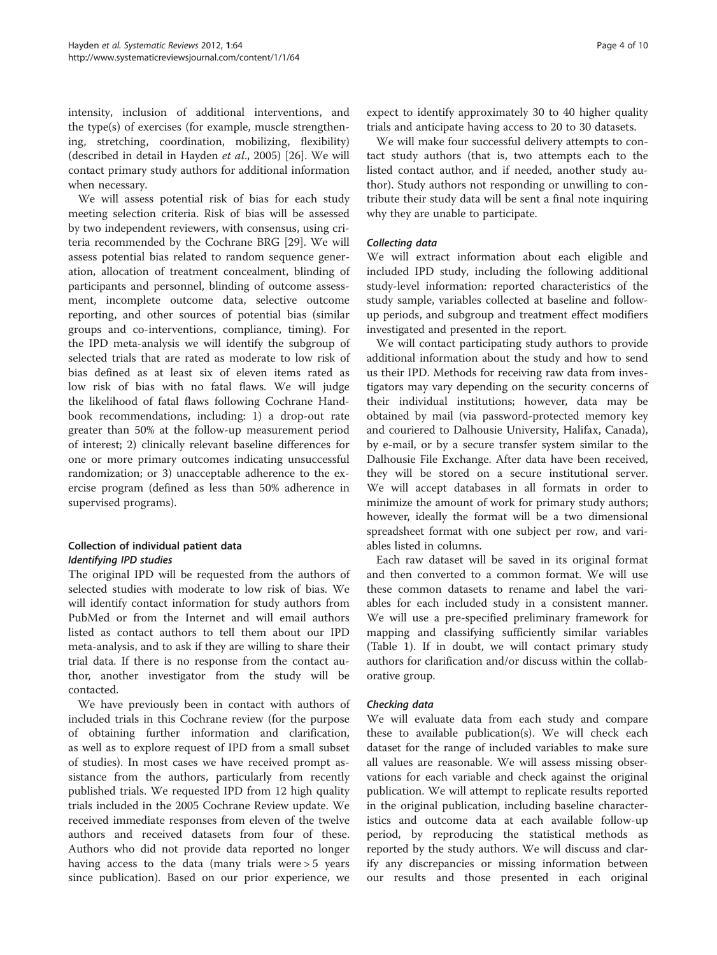intensity, inclusion of additional interventions, and the type(s) of exercises (for example, muscle strengthening, stretching, coordination, mobilizing, flexibility) (described in detail in Hayden et al., 2005) [\[26\]](#page-9-0). We will contact primary study authors for additional information when necessary.

We will assess potential risk of bias for each study meeting selection criteria. Risk of bias will be assessed by two independent reviewers, with consensus, using criteria recommended by the Cochrane BRG [\[29](#page-9-0)]. We will assess potential bias related to random sequence generation, allocation of treatment concealment, blinding of participants and personnel, blinding of outcome assessment, incomplete outcome data, selective outcome reporting, and other sources of potential bias (similar groups and co-interventions, compliance, timing). For the IPD meta-analysis we will identify the subgroup of selected trials that are rated as moderate to low risk of bias defined as at least six of eleven items rated as low risk of bias with no fatal flaws. We will judge the likelihood of fatal flaws following Cochrane Handbook recommendations, including: 1) a drop-out rate greater than 50% at the follow-up measurement period of interest; 2) clinically relevant baseline differences for one or more primary outcomes indicating unsuccessful randomization; or 3) unacceptable adherence to the exercise program (defined as less than 50% adherence in supervised programs).

## Collection of individual patient data Identifying IPD studies

The original IPD will be requested from the authors of selected studies with moderate to low risk of bias. We will identify contact information for study authors from PubMed or from the Internet and will email authors listed as contact authors to tell them about our IPD meta-analysis, and to ask if they are willing to share their trial data. If there is no response from the contact author, another investigator from the study will be contacted.

We have previously been in contact with authors of included trials in this Cochrane review (for the purpose of obtaining further information and clarification, as well as to explore request of IPD from a small subset of studies). In most cases we have received prompt assistance from the authors, particularly from recently published trials. We requested IPD from 12 high quality trials included in the 2005 Cochrane Review update. We received immediate responses from eleven of the twelve authors and received datasets from four of these. Authors who did not provide data reported no longer having access to the data (many trials were > 5 years since publication). Based on our prior experience, we expect to identify approximately 30 to 40 higher quality trials and anticipate having access to 20 to 30 datasets.

We will make four successful delivery attempts to contact study authors (that is, two attempts each to the listed contact author, and if needed, another study author). Study authors not responding or unwilling to contribute their study data will be sent a final note inquiring why they are unable to participate.

## Collecting data

We will extract information about each eligible and included IPD study, including the following additional study-level information: reported characteristics of the study sample, variables collected at baseline and followup periods, and subgroup and treatment effect modifiers investigated and presented in the report.

We will contact participating study authors to provide additional information about the study and how to send us their IPD. Methods for receiving raw data from investigators may vary depending on the security concerns of their individual institutions; however, data may be obtained by mail (via password-protected memory key and couriered to Dalhousie University, Halifax, Canada), by e-mail, or by a secure transfer system similar to the Dalhousie File Exchange. After data have been received, they will be stored on a secure institutional server. We will accept databases in all formats in order to minimize the amount of work for primary study authors; however, ideally the format will be a two dimensional spreadsheet format with one subject per row, and variables listed in columns.

Each raw dataset will be saved in its original format and then converted to a common format. We will use these common datasets to rename and label the variables for each included study in a consistent manner. We will use a pre-specified preliminary framework for mapping and classifying sufficiently similar variables (Table [1](#page-4-0)). If in doubt, we will contact primary study authors for clarification and/or discuss within the collaborative group.

## Checking data

We will evaluate data from each study and compare these to available publication(s). We will check each dataset for the range of included variables to make sure all values are reasonable. We will assess missing observations for each variable and check against the original publication. We will attempt to replicate results reported in the original publication, including baseline characteristics and outcome data at each available follow-up period, by reproducing the statistical methods as reported by the study authors. We will discuss and clarify any discrepancies or missing information between our results and those presented in each original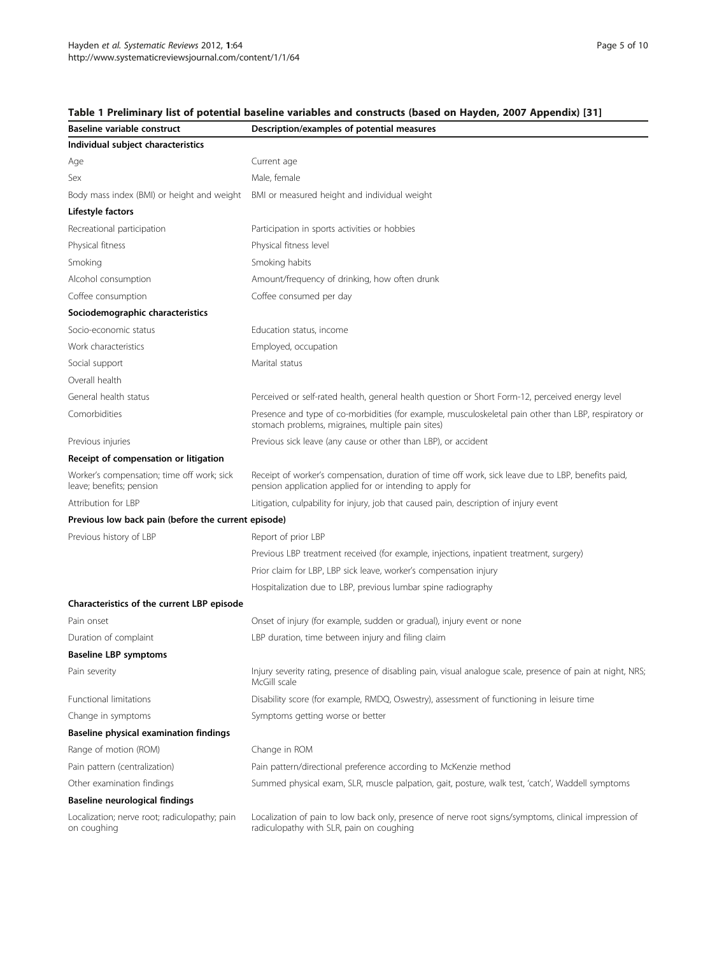| <b>Baseline variable construct</b>                                     | Description/examples of potential measures                                                                                                                      |
|------------------------------------------------------------------------|-----------------------------------------------------------------------------------------------------------------------------------------------------------------|
| Individual subject characteristics                                     |                                                                                                                                                                 |
| Age                                                                    | Current age                                                                                                                                                     |
| Sex                                                                    | Male, female                                                                                                                                                    |
| Body mass index (BMI) or height and weight                             | BMI or measured height and individual weight                                                                                                                    |
| Lifestyle factors                                                      |                                                                                                                                                                 |
| Recreational participation                                             | Participation in sports activities or hobbies                                                                                                                   |
| Physical fitness                                                       | Physical fitness level                                                                                                                                          |
| Smoking                                                                | Smoking habits                                                                                                                                                  |
| Alcohol consumption                                                    | Amount/frequency of drinking, how often drunk                                                                                                                   |
| Coffee consumption                                                     | Coffee consumed per day                                                                                                                                         |
| Sociodemographic characteristics                                       |                                                                                                                                                                 |
| Socio-economic status                                                  | Education status, income                                                                                                                                        |
| Work characteristics                                                   | Employed, occupation                                                                                                                                            |
| Social support                                                         | Marital status                                                                                                                                                  |
| Overall health                                                         |                                                                                                                                                                 |
| General health status                                                  | Perceived or self-rated health, general health question or Short Form-12, perceived energy level                                                                |
| Comorbidities                                                          | Presence and type of co-morbidities (for example, musculoskeletal pain other than LBP, respiratory or<br>stomach problems, migraines, multiple pain sites)      |
| Previous injuries                                                      | Previous sick leave (any cause or other than LBP), or accident                                                                                                  |
| Receipt of compensation or litigation                                  |                                                                                                                                                                 |
| Worker's compensation; time off work; sick<br>leave; benefits; pension | Receipt of worker's compensation, duration of time off work, sick leave due to LBP, benefits paid,<br>pension application applied for or intending to apply for |
| Attribution for LBP                                                    | Litigation, culpability for injury, job that caused pain, description of injury event                                                                           |
| Previous low back pain (before the current episode)                    |                                                                                                                                                                 |
| Previous history of LBP                                                | Report of prior LBP                                                                                                                                             |
|                                                                        | Previous LBP treatment received (for example, injections, inpatient treatment, surgery)                                                                         |
|                                                                        | Prior claim for LBP, LBP sick leave, worker's compensation injury                                                                                               |
|                                                                        | Hospitalization due to LBP, previous lumbar spine radiography                                                                                                   |
| Characteristics of the current LBP episode                             |                                                                                                                                                                 |
| Pain onset                                                             | Onset of injury (for example, sudden or gradual), injury event or none                                                                                          |
| Duration of complaint                                                  | LBP duration, time between injury and filing claim                                                                                                              |
| <b>Baseline LBP symptoms</b>                                           |                                                                                                                                                                 |
| Pain severity                                                          | Injury severity rating, presence of disabling pain, visual analogue scale, presence of pain at night, NRS;<br>McGill scale                                      |
| Functional limitations                                                 | Disability score (for example, RMDQ, Oswestry), assessment of functioning in leisure time                                                                       |
| Change in symptoms                                                     | Symptoms getting worse or better                                                                                                                                |
| <b>Baseline physical examination findings</b>                          |                                                                                                                                                                 |
| Range of motion (ROM)                                                  | Change in ROM                                                                                                                                                   |
| Pain pattern (centralization)                                          | Pain pattern/directional preference according to McKenzie method                                                                                                |
| Other examination findings                                             | Summed physical exam, SLR, muscle palpation, gait, posture, walk test, 'catch', Waddell symptoms                                                                |
| <b>Baseline neurological findings</b>                                  |                                                                                                                                                                 |
| Localization; nerve root; radiculopathy; pain<br>on coughing           | Localization of pain to low back only, presence of nerve root signs/symptoms, clinical impression of<br>radiculopathy with SLR, pain on coughing                |

## <span id="page-4-0"></span>Table 1 Preliminary list of potential baseline variables and constructs (based on Hayden, 2007 Appendix) [\[31](#page-9-0)]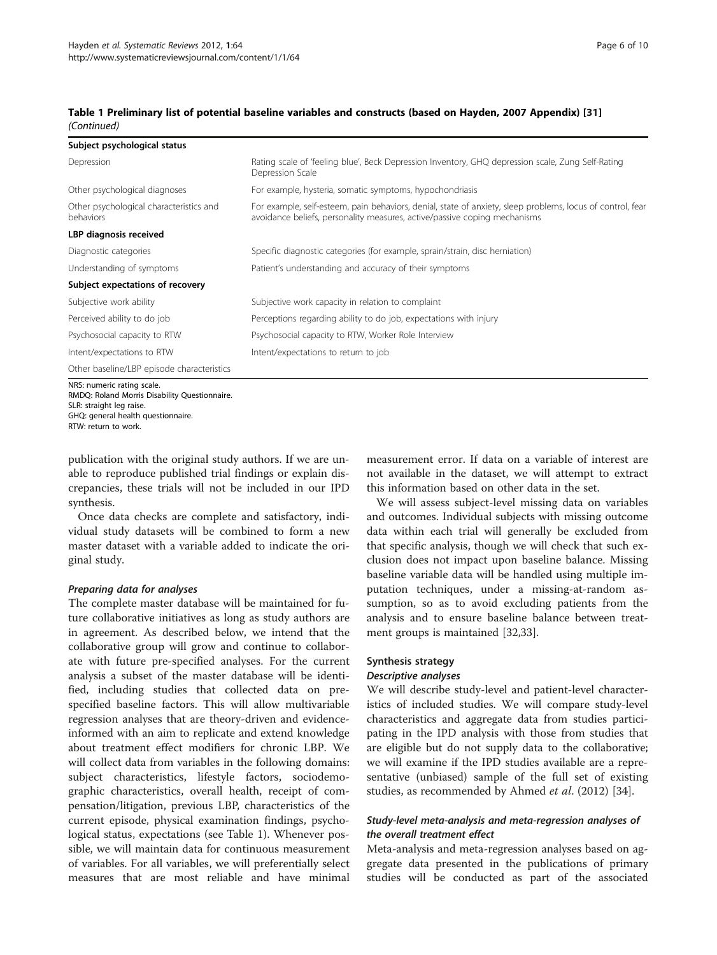#### Table 1 Preliminary list of potential baseline variables and constructs (based on Hayden, 2007 Appendix) [31] (Continued)

| Subject psychological status                                                                                                                  |                                                                                                                                                                                         |
|-----------------------------------------------------------------------------------------------------------------------------------------------|-----------------------------------------------------------------------------------------------------------------------------------------------------------------------------------------|
| Depression                                                                                                                                    | Rating scale of 'feeling blue', Beck Depression Inventory, GHQ depression scale, Zung Self-Rating<br>Depression Scale                                                                   |
| Other psychological diagnoses                                                                                                                 | For example, hysteria, somatic symptoms, hypochondriasis                                                                                                                                |
| Other psychological characteristics and<br>behaviors                                                                                          | For example, self-esteem, pain behaviors, denial, state of anxiety, sleep problems, locus of control, fear<br>avoidance beliefs, personality measures, active/passive coping mechanisms |
| LBP diagnosis received                                                                                                                        |                                                                                                                                                                                         |
| Diagnostic categories                                                                                                                         | Specific diagnostic categories (for example, sprain/strain, disc herniation)                                                                                                            |
| Understanding of symptoms                                                                                                                     | Patient's understanding and accuracy of their symptoms                                                                                                                                  |
| Subject expectations of recovery                                                                                                              |                                                                                                                                                                                         |
| Subjective work ability                                                                                                                       | Subjective work capacity in relation to complaint                                                                                                                                       |
| Perceived ability to do job                                                                                                                   | Perceptions regarding ability to do job, expectations with injury                                                                                                                       |
| Psychosocial capacity to RTW                                                                                                                  | Psychosocial capacity to RTW, Worker Role Interview                                                                                                                                     |
| Intent/expectations to RTW                                                                                                                    | Intent/expectations to return to job                                                                                                                                                    |
| Other baseline/LBP episode characteristics                                                                                                    |                                                                                                                                                                                         |
| NRS: numeric rating scale.<br>RMDQ: Roland Morris Disability Questionnaire.<br>SLR: straight leg raise.<br>GHQ: general health questionnaire. |                                                                                                                                                                                         |

publication with the original study authors. If we are unable to reproduce published trial findings or explain discrepancies, these trials will not be included in our IPD synthesis.

Once data checks are complete and satisfactory, individual study datasets will be combined to form a new master dataset with a variable added to indicate the original study.

## Preparing data for analyses

RTW: return to work.

The complete master database will be maintained for future collaborative initiatives as long as study authors are in agreement. As described below, we intend that the collaborative group will grow and continue to collaborate with future pre-specified analyses. For the current analysis a subset of the master database will be identified, including studies that collected data on prespecified baseline factors. This will allow multivariable regression analyses that are theory-driven and evidenceinformed with an aim to replicate and extend knowledge about treatment effect modifiers for chronic LBP. We will collect data from variables in the following domains: subject characteristics, lifestyle factors, sociodemographic characteristics, overall health, receipt of compensation/litigation, previous LBP, characteristics of the current episode, physical examination findings, psychological status, expectations (see Table [1\)](#page-4-0). Whenever possible, we will maintain data for continuous measurement of variables. For all variables, we will preferentially select measures that are most reliable and have minimal measurement error. If data on a variable of interest are not available in the dataset, we will attempt to extract this information based on other data in the set.

We will assess subject-level missing data on variables and outcomes. Individual subjects with missing outcome data within each trial will generally be excluded from that specific analysis, though we will check that such exclusion does not impact upon baseline balance. Missing baseline variable data will be handled using multiple imputation techniques, under a missing-at-random assumption, so as to avoid excluding patients from the analysis and to ensure baseline balance between treatment groups is maintained [[32,33](#page-9-0)].

## Synthesis strategy

#### Descriptive analyses

We will describe study-level and patient-level characteristics of included studies. We will compare study-level characteristics and aggregate data from studies participating in the IPD analysis with those from studies that are eligible but do not supply data to the collaborative; we will examine if the IPD studies available are a representative (unbiased) sample of the full set of existing studies, as recommended by Ahmed et al. (2012) [[34\]](#page-9-0).

## Study-level meta-analysis and meta-regression analyses of the overall treatment effect

Meta-analysis and meta-regression analyses based on aggregate data presented in the publications of primary studies will be conducted as part of the associated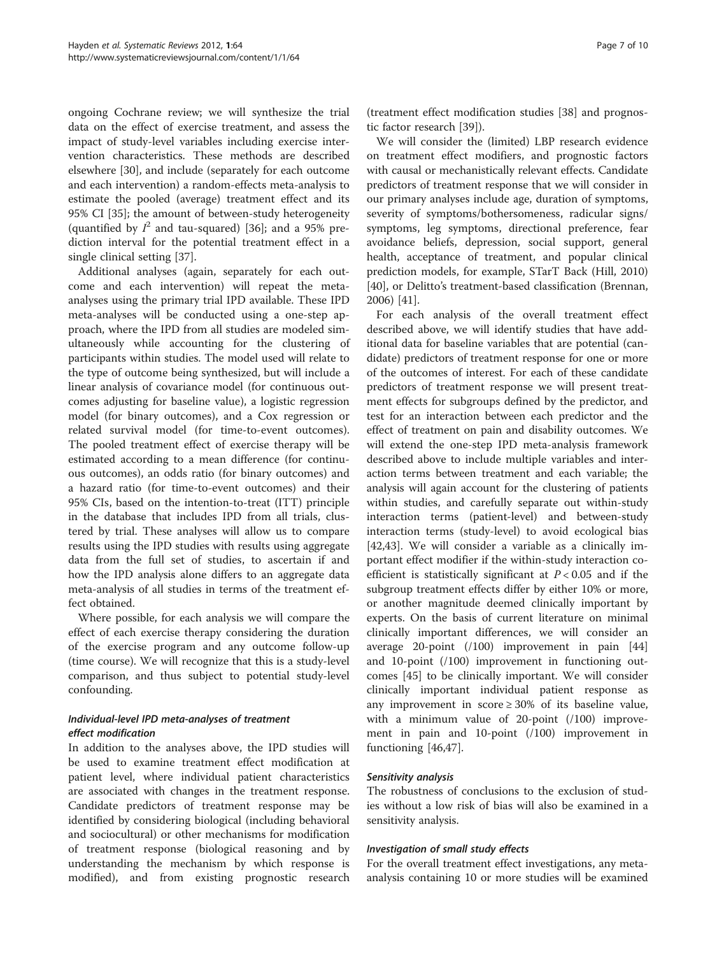ongoing Cochrane review; we will synthesize the trial data on the effect of exercise treatment, and assess the impact of study-level variables including exercise intervention characteristics. These methods are described elsewhere [[30\]](#page-9-0), and include (separately for each outcome and each intervention) a random-effects meta-analysis to estimate the pooled (average) treatment effect and its 95% CI [[35\]](#page-9-0); the amount of between-study heterogeneity (quantified by  $I^2$  and tau-squared) [[36\]](#page-9-0); and a 95% prediction interval for the potential treatment effect in a single clinical setting [\[37](#page-9-0)].

Additional analyses (again, separately for each outcome and each intervention) will repeat the metaanalyses using the primary trial IPD available. These IPD meta-analyses will be conducted using a one-step approach, where the IPD from all studies are modeled simultaneously while accounting for the clustering of participants within studies. The model used will relate to the type of outcome being synthesized, but will include a linear analysis of covariance model (for continuous outcomes adjusting for baseline value), a logistic regression model (for binary outcomes), and a Cox regression or related survival model (for time-to-event outcomes). The pooled treatment effect of exercise therapy will be estimated according to a mean difference (for continuous outcomes), an odds ratio (for binary outcomes) and a hazard ratio (for time-to-event outcomes) and their 95% CIs, based on the intention-to-treat (ITT) principle in the database that includes IPD from all trials, clustered by trial. These analyses will allow us to compare results using the IPD studies with results using aggregate data from the full set of studies, to ascertain if and how the IPD analysis alone differs to an aggregate data meta-analysis of all studies in terms of the treatment effect obtained.

Where possible, for each analysis we will compare the effect of each exercise therapy considering the duration of the exercise program and any outcome follow-up (time course). We will recognize that this is a study-level comparison, and thus subject to potential study-level confounding.

## Individual-level IPD meta-analyses of treatment effect modification

In addition to the analyses above, the IPD studies will be used to examine treatment effect modification at patient level, where individual patient characteristics are associated with changes in the treatment response. Candidate predictors of treatment response may be identified by considering biological (including behavioral and sociocultural) or other mechanisms for modification of treatment response (biological reasoning and by understanding the mechanism by which response is modified), and from existing prognostic research (treatment effect modification studies [[38\]](#page-9-0) and prognostic factor research [\[39](#page-9-0)]).

We will consider the (limited) LBP research evidence on treatment effect modifiers, and prognostic factors with causal or mechanistically relevant effects. Candidate predictors of treatment response that we will consider in our primary analyses include age, duration of symptoms, severity of symptoms/bothersomeness, radicular signs/ symptoms, leg symptoms, directional preference, fear avoidance beliefs, depression, social support, general health, acceptance of treatment, and popular clinical prediction models, for example, STarT Back (Hill, 2010) [[40\]](#page-9-0), or Delitto's treatment-based classification (Brennan, 2006) [[41](#page-9-0)].

For each analysis of the overall treatment effect described above, we will identify studies that have additional data for baseline variables that are potential (candidate) predictors of treatment response for one or more of the outcomes of interest. For each of these candidate predictors of treatment response we will present treatment effects for subgroups defined by the predictor, and test for an interaction between each predictor and the effect of treatment on pain and disability outcomes. We will extend the one-step IPD meta-analysis framework described above to include multiple variables and interaction terms between treatment and each variable; the analysis will again account for the clustering of patients within studies, and carefully separate out within-study interaction terms (patient-level) and between-study interaction terms (study-level) to avoid ecological bias [[42,43\]](#page-9-0). We will consider a variable as a clinically important effect modifier if the within-study interaction coefficient is statistically significant at  $P < 0.05$  and if the subgroup treatment effects differ by either 10% or more, or another magnitude deemed clinically important by experts. On the basis of current literature on minimal clinically important differences, we will consider an average 20-point (/100) improvement in pain [[44](#page-9-0)] and 10-point (/100) improvement in functioning outcomes [[45\]](#page-9-0) to be clinically important. We will consider clinically important individual patient response as any improvement in  $score \geq 30\%$  of its baseline value, with a minimum value of 20-point (/100) improvement in pain and 10-point (/100) improvement in functioning [\[46,47](#page-9-0)].

## Sensitivity analysis

The robustness of conclusions to the exclusion of studies without a low risk of bias will also be examined in a sensitivity analysis.

## Investigation of small study effects

For the overall treatment effect investigations, any metaanalysis containing 10 or more studies will be examined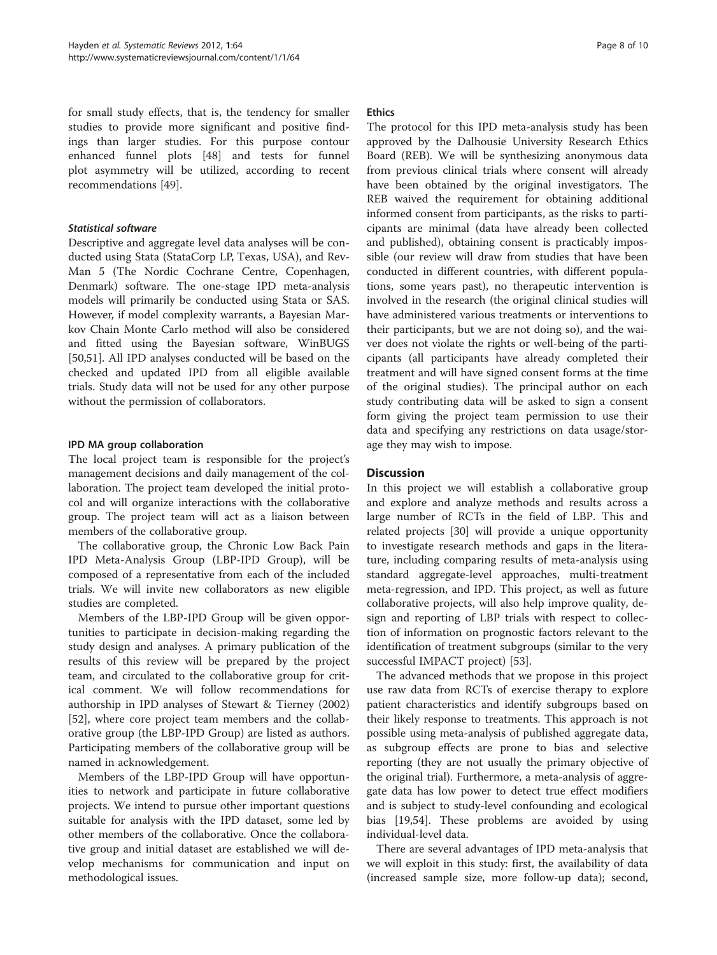for small study effects, that is, the tendency for smaller studies to provide more significant and positive findings than larger studies. For this purpose contour enhanced funnel plots [\[48](#page-9-0)] and tests for funnel plot asymmetry will be utilized, according to recent recommendations [\[49](#page-9-0)].

#### Statistical software

Descriptive and aggregate level data analyses will be conducted using Stata (StataCorp LP, Texas, USA), and Rev-Man 5 (The Nordic Cochrane Centre, Copenhagen, Denmark) software. The one-stage IPD meta-analysis models will primarily be conducted using Stata or SAS. However, if model complexity warrants, a Bayesian Markov Chain Monte Carlo method will also be considered and fitted using the Bayesian software, WinBUGS [[50,51\]](#page-9-0). All IPD analyses conducted will be based on the checked and updated IPD from all eligible available trials. Study data will not be used for any other purpose without the permission of collaborators.

#### IPD MA group collaboration

The local project team is responsible for the project's management decisions and daily management of the collaboration. The project team developed the initial protocol and will organize interactions with the collaborative group. The project team will act as a liaison between members of the collaborative group.

The collaborative group, the Chronic Low Back Pain IPD Meta-Analysis Group (LBP-IPD Group), will be composed of a representative from each of the included trials. We will invite new collaborators as new eligible studies are completed.

Members of the LBP-IPD Group will be given opportunities to participate in decision-making regarding the study design and analyses. A primary publication of the results of this review will be prepared by the project team, and circulated to the collaborative group for critical comment. We will follow recommendations for authorship in IPD analyses of Stewart & Tierney (2002) [[52\]](#page-9-0), where core project team members and the collaborative group (the LBP-IPD Group) are listed as authors. Participating members of the collaborative group will be named in acknowledgement.

Members of the LBP-IPD Group will have opportunities to network and participate in future collaborative projects. We intend to pursue other important questions suitable for analysis with the IPD dataset, some led by other members of the collaborative. Once the collaborative group and initial dataset are established we will develop mechanisms for communication and input on methodological issues.

#### Ethics

The protocol for this IPD meta-analysis study has been approved by the Dalhousie University Research Ethics Board (REB). We will be synthesizing anonymous data from previous clinical trials where consent will already have been obtained by the original investigators. The REB waived the requirement for obtaining additional informed consent from participants, as the risks to participants are minimal (data have already been collected and published), obtaining consent is practicably impossible (our review will draw from studies that have been conducted in different countries, with different populations, some years past), no therapeutic intervention is involved in the research (the original clinical studies will have administered various treatments or interventions to their participants, but we are not doing so), and the waiver does not violate the rights or well-being of the participants (all participants have already completed their treatment and will have signed consent forms at the time of the original studies). The principal author on each study contributing data will be asked to sign a consent form giving the project team permission to use their data and specifying any restrictions on data usage/storage they may wish to impose.

#### **Discussion**

In this project we will establish a collaborative group and explore and analyze methods and results across a large number of RCTs in the field of LBP. This and related projects [\[30\]](#page-9-0) will provide a unique opportunity to investigate research methods and gaps in the literature, including comparing results of meta-analysis using standard aggregate-level approaches, multi-treatment meta-regression, and IPD. This project, as well as future collaborative projects, will also help improve quality, design and reporting of LBP trials with respect to collection of information on prognostic factors relevant to the identification of treatment subgroups (similar to the very successful IMPACT project) [[53](#page-9-0)].

The advanced methods that we propose in this project use raw data from RCTs of exercise therapy to explore patient characteristics and identify subgroups based on their likely response to treatments. This approach is not possible using meta-analysis of published aggregate data, as subgroup effects are prone to bias and selective reporting (they are not usually the primary objective of the original trial). Furthermore, a meta-analysis of aggregate data has low power to detect true effect modifiers and is subject to study-level confounding and ecological bias [\[19,](#page-8-0)[54\]](#page-9-0). These problems are avoided by using individual-level data.

There are several advantages of IPD meta-analysis that we will exploit in this study: first, the availability of data (increased sample size, more follow-up data); second,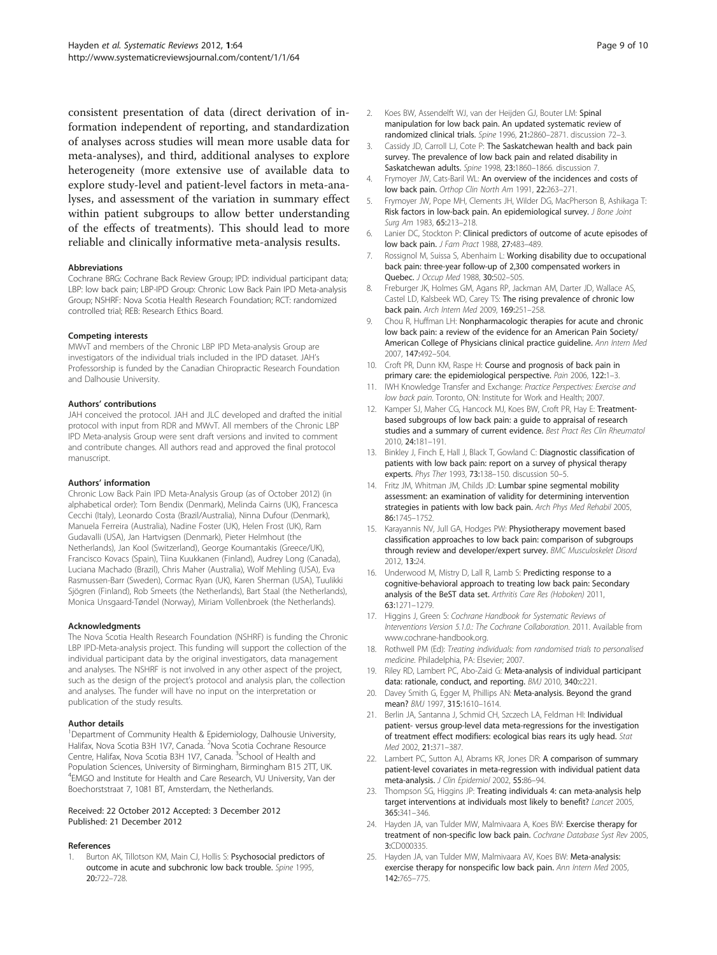<span id="page-8-0"></span>consistent presentation of data (direct derivation of information independent of reporting, and standardization of analyses across studies will mean more usable data for meta-analyses), and third, additional analyses to explore heterogeneity (more extensive use of available data to explore study-level and patient-level factors in meta-analyses, and assessment of the variation in summary effect within patient subgroups to allow better understanding of the effects of treatments). This should lead to more reliable and clinically informative meta-analysis results.

#### Abbreviations

Cochrane BRG: Cochrane Back Review Group; IPD: individual participant data; LBP: low back pain; LBP-IPD Group: Chronic Low Back Pain IPD Meta-analysis Group; NSHRF: Nova Scotia Health Research Foundation; RCT: randomized controlled trial; REB: Research Ethics Board.

#### Competing interests

MWvT and members of the Chronic LBP IPD Meta-analysis Group are investigators of the individual trials included in the IPD dataset. JAH's Professorship is funded by the Canadian Chiropractic Research Foundation and Dalhousie University.

#### Authors' contributions

JAH conceived the protocol. JAH and JLC developed and drafted the initial protocol with input from RDR and MWvT. All members of the Chronic LBP IPD Meta-analysis Group were sent draft versions and invited to comment and contribute changes. All authors read and approved the final protocol manuscript.

#### Authors' information

Chronic Low Back Pain IPD Meta-Analysis Group (as of October 2012) (in alphabetical order): Tom Bendix (Denmark), Melinda Cairns (UK), Francesca Cecchi (Italy), Leonardo Costa (Brazil/Australia), Ninna Dufour (Denmark), Manuela Ferreira (Australia), Nadine Foster (UK), Helen Frost (UK), Ram Gudavalli (USA), Jan Hartvigsen (Denmark), Pieter Helmhout (the Netherlands), Jan Kool (Switzerland), George Koumantakis (Greece/UK), Francisco Kovacs (Spain), Tiina Kuukkanen (Finland), Audrey Long (Canada), Luciana Machado (Brazil), Chris Maher (Australia), Wolf Mehling (USA), Eva Rasmussen-Barr (Sweden), Cormac Ryan (UK), Karen Sherman (USA), Tuulikki Sjögren (Finland), Rob Smeets (the Netherlands), Bart Staal (the Netherlands), Monica Unsgaard-Tøndel (Norway), Miriam Vollenbroek (the Netherlands).

#### Acknowledgments

The Nova Scotia Health Research Foundation (NSHRF) is funding the Chronic LBP IPD-Meta-analysis project. This funding will support the collection of the individual participant data by the original investigators, data management and analyses. The NSHRF is not involved in any other aspect of the project, such as the design of the project's protocol and analysis plan, the collection and analyses. The funder will have no input on the interpretation or publication of the study results.

#### Author details

<sup>1</sup>Department of Community Health & Epidemiology, Dalhousie University, Halifax, Nova Scotia B3H 1V7, Canada. <sup>2</sup>Nova Scotia Cochrane Resource Centre, Halifax, Nova Scotia B3H 1V7, Canada. <sup>3</sup>School of Health and Population Sciences, University of Birmingham, Birmingham B15 2TT, UK. 4 EMGO and Institute for Health and Care Research, VU University, Van der Boechorststraat 7, 1081 BT, Amsterdam, the Netherlands.

#### Received: 22 October 2012 Accepted: 3 December 2012 Published: 21 December 2012

#### References

Burton AK, Tillotson KM, Main CJ, Hollis S: Psychosocial predictors of outcome in acute and subchronic low back trouble. Spine 1995, 20:722–728.

- 2. Koes BW, Assendelft WJ, van der Heijden GJ, Bouter LM: Spinal manipulation for low back pain. An updated systematic review of randomized clinical trials. Spine 1996, 21:2860–2871. discussion 72–3.
- 3. Cassidy JD, Carroll LJ, Cote P: The Saskatchewan health and back pain survey. The prevalence of low back pain and related disability in Saskatchewan adults. Spine 1998, 23:1860–1866. discussion 7.
- 4. Frymoyer JW, Cats-Baril WL: An overview of the incidences and costs of low back pain. Orthop Clin North Am 1991, 22:263–271.
- 5. Frymoyer JW, Pope MH, Clements JH, Wilder DG, MacPherson B, Ashikaga T: Risk factors in low-back pain. An epidemiological survey. J Bone Joint Surg Am 1983, 65:213–218.
- 6. Lanier DC, Stockton P: Clinical predictors of outcome of acute episodes of low back pain. J Fam Pract 1988, 27:483-489.
- 7. Rossignol M, Suissa S, Abenhaim L: Working disability due to occupational back pain: three-year follow-up of 2,300 compensated workers in Quebec. J Occup Med 1988, 30:502–505.
- 8. Freburger JK, Holmes GM, Agans RP, Jackman AM, Darter JD, Wallace AS, Castel LD, Kalsbeek WD, Carey TS: The rising prevalence of chronic low back pain. Arch Intern Med 2009, 169:251–258.
- 9. Chou R, Huffman LH: Nonpharmacologic therapies for acute and chronic low back pain: a review of the evidence for an American Pain Society/ American College of Physicians clinical practice guideline. Ann Intern Med 2007, 147:492–504.
- 10. Croft PR, Dunn KM, Raspe H: Course and prognosis of back pain in primary care: the epidemiological perspective. Pain 2006, 122:1-3.
- 11. IWH Knowledge Transfer and Exchange: Practice Perspectives: Exercise and low back pain. Toronto, ON: Institute for Work and Health; 2007.
- 12. Kamper SJ, Maher CG, Hancock MJ, Koes BW, Croft PR, Hay E: Treatmentbased subgroups of low back pain: a guide to appraisal of research studies and a summary of current evidence. Best Pract Res Clin Rheumatol 2010, 24:181–191.
- 13. Binkley J, Finch E, Hall J, Black T, Gowland C: Diagnostic classification of patients with low back pain: report on a survey of physical therapy experts. Phys Ther 1993, 73:138–150. discussion 50–5.
- 14. Fritz JM, Whitman JM, Childs JD: Lumbar spine segmental mobility assessment: an examination of validity for determining intervention strategies in patients with low back pain. Arch Phys Med Rehabil 2005, 86:1745–1752.
- 15. Karayannis NV, Jull GA, Hodges PW: Physiotherapy movement based classification approaches to low back pain: comparison of subgroups through review and developer/expert survey. BMC Musculoskelet Disord 2012, 13:24.
- 16. Underwood M, Mistry D, Lall R, Lamb S: Predicting response to a cognitive-behavioral approach to treating low back pain: Secondary analysis of the BeST data set. Arthritis Care Res (Hoboken) 2011, 63:1271–1279.
- 17. Higgins J, Green S: Cochrane Handbook for Systematic Reviews of Interventions Version 5.1.0.: The Cochrane Collaboration. 2011. Available from [www.cochrane-handbook.org.](http://www.cochrane-handbook.org)
- 18. Rothwell PM (Ed): Treating individuals: from randomised trials to personalised medicine. Philadelphia, PA: Elsevier; 2007.
- 19. Riley RD, Lambert PC, Abo-Zaid G: Meta-analysis of individual participant data: rationale, conduct, and reporting. BMJ 2010, 340:c221.
- 20. Davey Smith G, Egger M, Phillips AN: Meta-analysis. Beyond the grand mean? BMJ 1997, 315:1610–1614.
- 21. Berlin JA, Santanna J, Schmid CH, Szczech LA, Feldman HI: Individual patient- versus group-level data meta-regressions for the investigation of treatment effect modifiers: ecological bias rears its ugly head. Stat Med 2002, 21:371–387.
- 22. Lambert PC, Sutton AJ, Abrams KR, Jones DR: A comparison of summary patient-level covariates in meta-regression with individual patient data meta-analysis. J Clin Epidemiol 2002, 55:86–94.
- 23. Thompson SG, Higgins JP: Treating individuals 4: can meta-analysis help target interventions at individuals most likely to benefit? Lancet 2005, 365:341–346.
- 24. Hayden JA, van Tulder MW, Malmivaara A, Koes BW: Exercise therapy for treatment of non-specific low back pain. Cochrane Database Syst Rev 2005, 3:CD000335.
- 25. Hayden JA, van Tulder MW, Malmivaara AV, Koes BW: Meta-analysis: exercise therapy for nonspecific low back pain. Ann Intern Med 2005, 142:765–775.